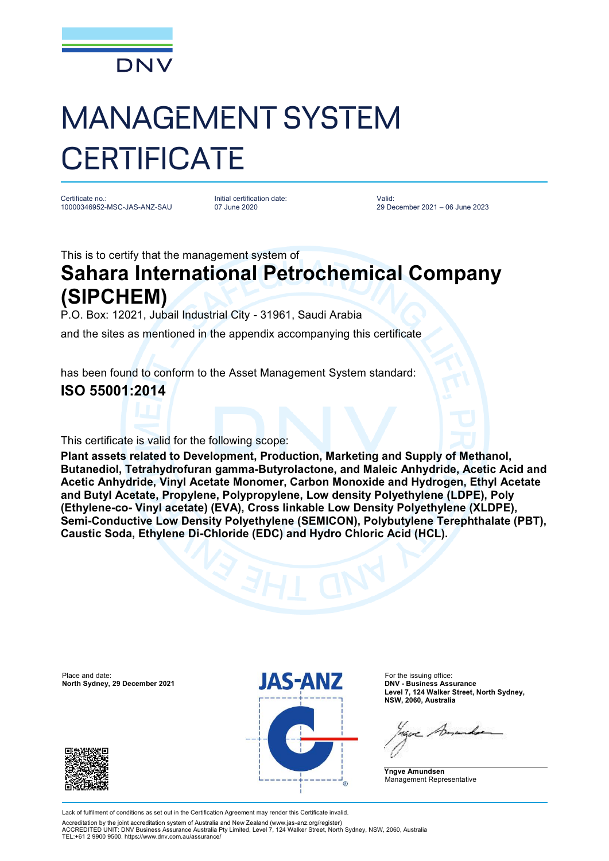

# MANAGEMENT SYSTEM **CERTIFICATE**

Certificate no.: 10000346952-MSC-JAS-ANZ-SAU Initial certification date: 07 June 2020

Valid: 29 December 2021 – 06 June 2023

This is to certify that the management system of

## **Sahara International Petrochemical Company (SIPCHEM)**

P.O. Box: 12021, Jubail Industrial City - 31961, Saudi Arabia

and the sites as mentioned in the appendix accompanying this certificate

has been found to conform to the Asset Management System standard:

### **ISO 55001:2014**

This certificate is valid for the following scope:

**Plant assets related to Development, Production, Marketing and Supply of Methanol, Butanediol, Tetrahydrofuran gamma-Butyrolactone, and Maleic Anhydride, Acetic Acid and Acetic Anhydride, Vinyl Acetate Monomer, Carbon Monoxide and Hydrogen, Ethyl Acetate and Butyl Acetate, Propylene, Polypropylene, Low density Polyethylene (LDPE), Poly (Ethylene-co- Vinyl acetate) (EVA), Cross linkable Low Density Polyethylene (XLDPE), Semi-Conductive Low Density Polyethylene (SEMICON), Polybutylene Terephthalate (PBT), Caustic Soda, Ethylene Di-Chloride (EDC) and Hydro Chloric Acid (HCL).**

**North Sydney, 29 December 2021** 





**Level 7, 124 Walker Street, North Sydney, NSW, 2060, Australia**

**Yngve Amundsen** Management Representative

Lack of fulfilment of conditions as set out in the Certification Agreement may render this Certificate invalid.

Accreditation by the joint accreditation system of Australia and New Zealand [\(www.jas-anz.org/register\)](http://www.jas-anz.org/register)) ACCREDITED UNIT: DNV Business Assurance Australia Pty Limited, Level 7, 124 Walker Street, North Sydney, NSW, 2060, Australia TEL:+61 2 9900 9500. <https://www.dnv.com.au/assurance/>